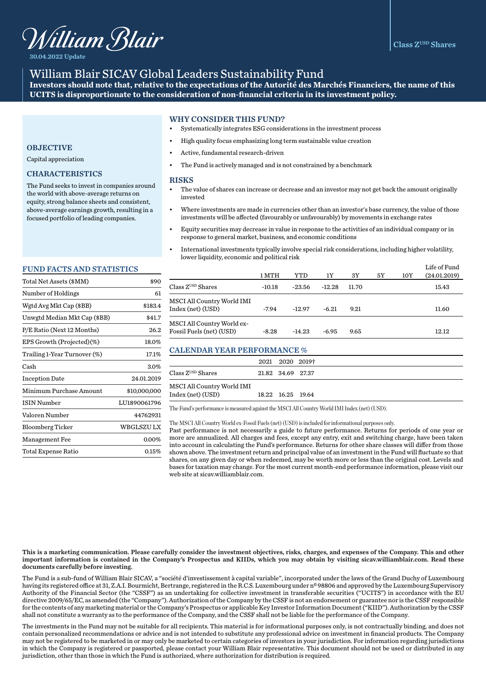

30.04.2022 Update

# William Blair SICAV Global Leaders Sustainability Fund

**Investors should note that, relative to the expectations of the Autorité des Marchés Financiers, the name of this UCITS is disproportionate to the consideration of non-financial criteria in its investment policy.** 

# WHY CONSIDER THIS FUND?

- Systematically integrates ESG considerations in the investment process
- High quality focus emphasizing long term sustainable value creation
- Active, fundamental research-driven
- The Fund is actively managed and is not constrained by a benchmark

#### **RISKS**

- The value of shares can increase or decrease and an investor may not get back the amount originally invested
- Where investments are made in currencies other than an investor's base currency, the value of those investments will be affected (favourably or unfavourably) by movements in exchange rates
- Equity securities may decrease in value in response to the activities of an individual company or in response to general market, business, and economic conditions
- International investments typically involve special risk considerations, including higher volatility, lower liquidity, economic and political risk

|                                                        | 1 MTH    | YTD      | 1Y       | 3Y    | 5Y | 10Y | Life of Fund<br>(24.01.2019) |
|--------------------------------------------------------|----------|----------|----------|-------|----|-----|------------------------------|
| Class Z <sup>usp</sup> Shares                          | $-10.18$ | $-23.56$ | $-12.28$ | 11.70 |    |     | 15.43                        |
| MSCI All Country World IMI<br>Index (net) (USD)        | $-7.94$  | $-12.97$ | $-6.21$  | 9.21  |    |     | 11.60                        |
| MSCI All Country World ex-<br>Fossil Fuels (net) (USD) | $-8.28$  | $-14.23$ | $-6.95$  | 9.65  |    |     | 12.12                        |

# CALENDAR YEAR PERFORMANCE %

|                               |                   | 2021 2020 2019† |
|-------------------------------|-------------------|-----------------|
| Class Z <sup>usp</sup> Shares | 21.82 34.69 27.37 |                 |
| MSCI All Country World IMI    |                   |                 |
| Index (net) (USD)             | 18.22 16.25 19.64 |                 |

The Fund's performance is measured against the MSCI All Country World IMI Index (net) (USD).

#### The MSCI All Country World ex-Fossil Fuels (net) (USD) is included for informational purposes only.

Past performance is not necessarily a guide to future performance. Returns for periods of one year or more are annualized. All charges and fees, except any entry, exit and switching charge, have been taken into account in calculating the Fund's performance. Returns for other share classes will differ from those shown above. The investment return and principal value of an investment in the Fund will fluctuate so that shares, on any given day or when redeemed, may be worth more or less than the original cost. Levels and bases for taxation may change. For the most current month-end performance information, please visit our web site at sicav.williamblair.com.

# Capital appreciation

**OBJECTIVE** 

# CHARACTERISTICS

The Fund seeks to invest in companies around the world with above-average returns on equity, strong balance sheets and consistent, above-average earnings growth, resulting in a focused portfolio of leading companies.

#### FUND FACTS AND STATISTICS

| Total Net Assets (\$MM)      | \$90         |
|------------------------------|--------------|
| Number of Holdings           | 61           |
| Wgtd Avg Mkt Cap (\$BB)      | \$183.4      |
| Unwgtd Median Mkt Cap (\$BB) | \$41.7       |
| P/E Ratio (Next 12 Months)   | 26.2         |
| EPS Growth (Projected)(%)    | 18.0%        |
| Trailing 1-Year Turnover (%) | 17.1%        |
| Cash                         | 3.0%         |
| <b>Inception Date</b>        | 24.01.2019   |
| Minimum Purchase Amount      | \$10,000,000 |
| <b>ISIN Number</b>           | LU1890061796 |
| Valoren Number               | 44762931     |
| <b>Bloomberg Ticker</b>      | WBGLSZU LX   |
| <b>Management Fee</b>        | $0.00\%$     |
| Total Expense Ratio          | 0.15%        |
|                              |              |

This is a marketing communication. Please carefully consider the investment objectives, risks, charges, and expenses of the Company. This and other important information is contained in the Company's Prospectus and KIIDs, which you may obtain by visiting sicav.williamblair.com. Read these documents carefully before investing.

The Fund is a sub-fund of William Blair SICAV, a "société d'investissement à capital variable", incorporated under the laws of the Grand Duchy of Luxembourg having its registered office at 31, Z.A.I. Bourmicht, Bertrange, registered in the R.C.S. Luxembourg under nº 98806 and approved by the Luxembourg Supervisory Authority of the Financial Sector (the "CSSF") as an undertaking for collective investment in transferable securities ("UCITS") in accordance with the EU directive 2009/65/EC, as amended (the "Company"). Authorization of the Company by the CSSF is not an endorsement or guarantee nor is the CSSF responsible for the contents of any marketing material or the Company's Prospectus or applicable Key Investor Information Document ("KIID"). Authorization by the CSSF shall not constitute a warranty as to the performance of the Company, and the CSSF shall not be liable for the performance of the Company.

The investments in the Fund may not be suitable for all recipients. This material is for informational purposes only, is not contractually binding, and does not contain personalized recommendations or advice and is not intended to substitute any professional advice on investment in financial products. The Company may not be registered to be marketed in or may only be marketed to certain categories of investors in your jurisdiction. For information regarding jurisdictions in which the Company is registered or passported, please contact your William Blair representative. This document should not be used or distributed in any jurisdiction, other than those in which the Fund is authorized, where authorization for distribution is required.